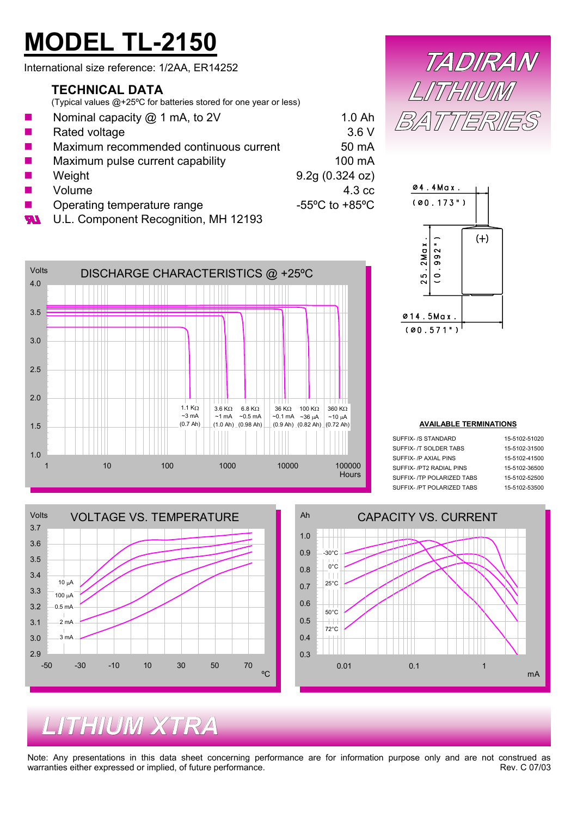# **MODEL TL-2150**

International size reference: 1/2AA, ER14252

### **TECHNICAL DATA**

(Typical values @+25ºC for batteries stored for one year or less)

| <b>Tale</b>      | Nominal capacity $@$ 1 mA, to 2V       | 1.0 <sub>Ah</sub>                  |
|------------------|----------------------------------------|------------------------------------|
| <b>The State</b> | Rated voltage                          | 3.6V                               |
| <b>The State</b> | Maximum recommended continuous current | 50 mA                              |
| <b>Tale</b>      | Maximum pulse current capability       | 100 mA                             |
| <b>The State</b> | Weight                                 | 9.2q(0.324 oz)                     |
| <b>The State</b> | Volume                                 | 4.3 cc                             |
| <b>The State</b> | Operating temperature range            | $-55^{\circ}$ C to $+85^{\circ}$ C |
| .                | $111$ Companent Desception $ML$ 42402  |                                    |

U.L. Component Recognition, MH 12193 **M** 







#### **AVAILABLE TERMINATIONS**

| SUFFIX- /S STANDARD        | 15-5102-51020 |
|----------------------------|---------------|
| SUFFIX- /T SOLDER TABS     | 15-5102-31500 |
| SUFFIX- /P AXIAI PINS      | 15-5102-41500 |
| SUFFIX-JPT2 RADIAL PINS    | 15-5102-36500 |
| SUFFIX- /TP POLARIZED TABS | 15-5102-52500 |
| SUFFIX- /PT POLARIZED TABS | 15-5102-53500 |





## *LITHIUM XTRA*

Note: Any presentations in this data sheet concerning performance are for information purpose only and are not construed as warranties either expressed or implied, of future performance. warranties either expressed or implied, of future performance.